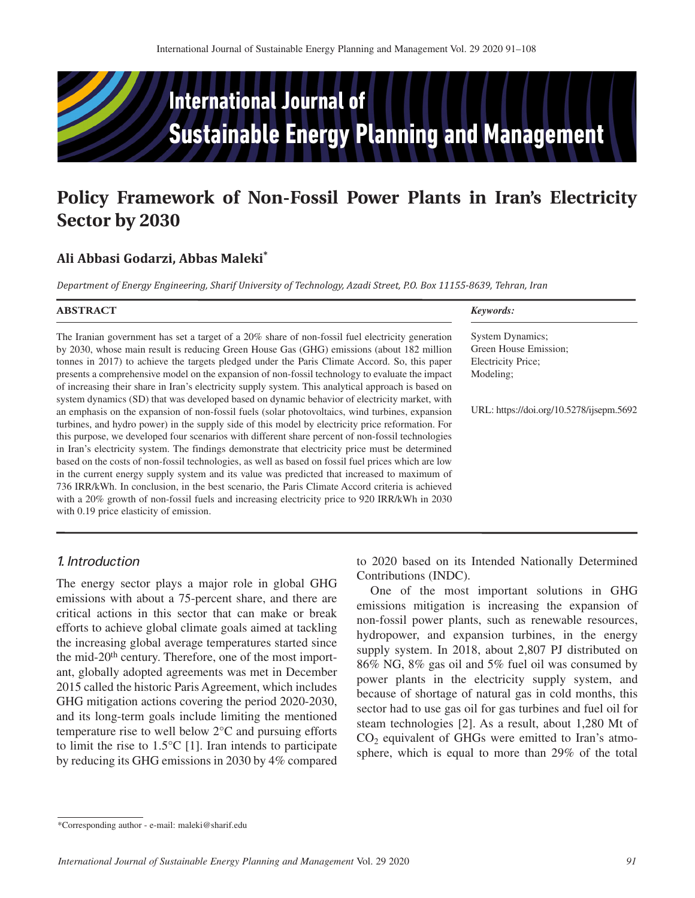

# **Policy Framework of Non-Fossil Power Plants in Iran's Electricity Sector by 2030**

# **Ali Abbasi Godarzi, Abbas Maleki\***

*Department of Energy Engineering, Sharif University of Technology, Azadi Street, P.O. Box 11155-8639, Tehran, Iran*

| <b>ABSTRACT</b>                                                                                     | Keywords:                                |
|-----------------------------------------------------------------------------------------------------|------------------------------------------|
| The Iranian government has set a target of a 20% share of non-fossil fuel electricity generation    | <b>System Dynamics;</b>                  |
| by 2030, whose main result is reducing Green House Gas (GHG) emissions (about 182 million           | Green House Emission;                    |
| tonnes in 2017) to achieve the targets pledged under the Paris Climate Accord. So, this paper       | Electricity Price;                       |
| presents a comprehensive model on the expansion of non-fossil technology to evaluate the impact     | Modeling:                                |
| of increasing their share in Iran's electricity supply system. This analytical approach is based on |                                          |
| system dynamics (SD) that was developed based on dynamic behavior of electricity market, with       |                                          |
| an emphasis on the expansion of non-fossil fuels (solar photovoltaics, wind turbines, expansion     | URL: https://doi.org/10.5278/ijsepm.5692 |
| turbines, and hydro power) in the supply side of this model by electricity price reformation. For   |                                          |
| this purpose, we developed four scenarios with different share percent of non-fossil technologies   |                                          |
| in Iran's electricity system. The findings demonstrate that electricity price must be determined    |                                          |
| based on the costs of non-fossil technologies, as well as based on fossil fuel prices which are low |                                          |
| in the current energy supply system and its value was predicted that increased to maximum of        |                                          |
| 736 IRR/kWh. In conclusion, in the best scenario, the Paris Climate Accord criteria is achieved     |                                          |
| with a 20% growth of non-fossil fuels and increasing electricity price to 920 IRR/kWh in 2030       |                                          |
| with 0.19 price elasticity of emission.                                                             |                                          |

# *1. Introduction*

The energy sector plays a major role in global GHG emissions with about a 75-percent share, and there are critical actions in this sector that can make or break efforts to achieve global climate goals aimed at tackling the increasing global average temperatures started since the mid-20<sup>th</sup> century. Therefore, one of the most important, globally adopted agreements was met in December 2015 called the historic Paris Agreement, which includes GHG mitigation actions covering the period 2020-2030, and its long-term goals include limiting the mentioned temperature rise to well below 2°C and pursuing efforts to limit the rise to 1.5°C [1]. Iran intends to participate by reducing its GHG emissions in 2030 by 4% compared

to 2020 based on its Intended Nationally Determined Contributions (INDC).

One of the most important solutions in GHG emissions mitigation is increasing the expansion of non-fossil power plants, such as renewable resources, hydropower, and expansion turbines, in the energy supply system. In 2018, about 2,807 PJ distributed on 86% NG, 8% gas oil and 5% fuel oil was consumed by power plants in the electricity supply system, and because of shortage of natural gas in cold months, this sector had to use gas oil for gas turbines and fuel oil for steam technologies [2]. As a result, about 1,280 Mt of  $CO<sub>2</sub>$  equivalent of GHGs were emitted to Iran's atmosphere, which is equal to more than 29% of the total

<sup>\*</sup>Corresponding author - e-mail: [maleki@sharif.edu](mailto:maleki@sharif.edu)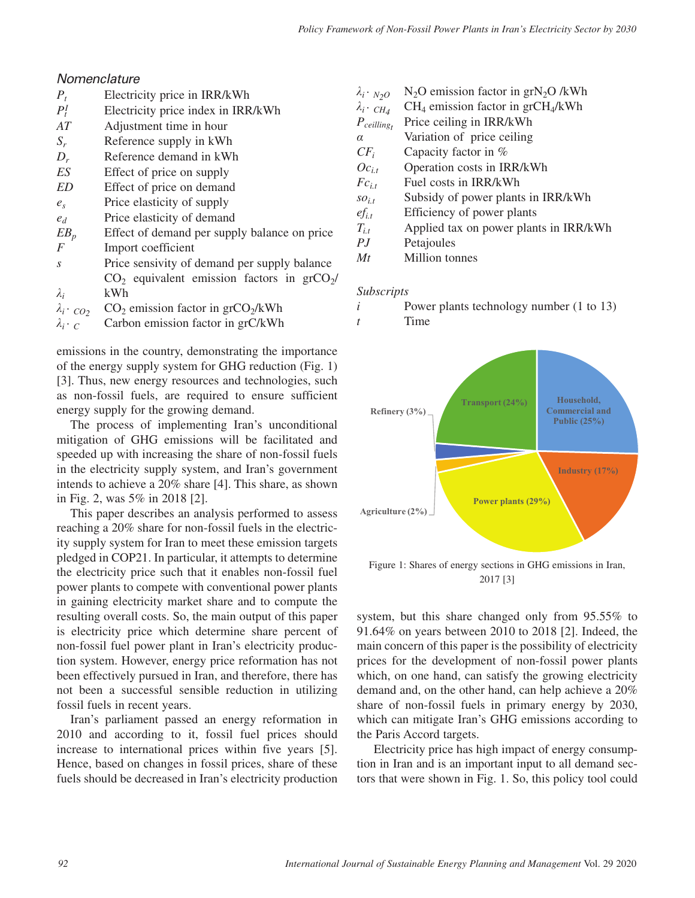# *Nomenclature*

- *Pt* Electricity price in IRR/kWh
- $P_t^I$ *<sup>I</sup>* Electricity price index in IRR/kWh
- *AT* Adjustment time in hour
- *Sr* Reference supply in kWh
- *Dr* Reference demand in kWh
- *ES* Effect of price on supply
- *ED* Effect of price on demand
- *es* Price elasticity of supply
- *ed* Price elasticity of demand
- $EB<sub>n</sub>$  Effect of demand per supply balance on price *F* Import coefficient
- *s* Price sensivity of demand per supply balance *λi*  $CO<sub>2</sub>$  equivalent emission factors in  $grCO<sub>2</sub>/$ kWh
- 
- $\lambda_i \cdot_{CO_2}$  CO<sub>2</sub> emission factor in grCO<sub>2</sub>/kWh  $\lambda_i \cdot_{C}$  Carbon emission factor in grC/kWh *Carbon emission factor in grC/kWh*

emissions in the country, demonstrating the importance of the energy supply system for GHG reduction (Fig. 1) [3]. Thus, new energy resources and technologies, such as non-fossil fuels, are required to ensure sufficient energy supply for the growing demand.

The process of implementing Iran's unconditional mitigation of GHG emissions will be facilitated and speeded up with increasing the share of non-fossil fuels in the electricity supply system, and Iran's government intends to achieve a 20% share [4]. This share, as shown in Fig. 2, was 5% in 2018 [2].

This paper describes an analysis performed to assess reaching a 20% share for non-fossil fuels in the electricity supply system for Iran to meet these emission targets pledged in COP21. In particular, it attempts to determine the electricity price such that it enables non-fossil fuel power plants to compete with conventional power plants in gaining electricity market share and to compute the resulting overall costs. So, the main output of this paper is electricity price which determine share percent of non-fossil fuel power plant in Iran's electricity production system. However, energy price reformation has not been effectively pursued in Iran, and therefore, there has not been a successful sensible reduction in utilizing fossil fuels in recent years.

Iran's parliament passed an energy reformation in 2010 and according to it, fossil fuel prices should increase to international prices within five years [5]. Hence, based on changes in fossil prices, share of these fuels should be decreased in Iran's electricity production

- $\lambda_i \cdot N_2O$  **N2O** emission factor in grN<sub>2</sub>O /kWh  $\lambda_i \cdot c_{H_A}$  **CH**<sub>4</sub> emission factor in grCH<sub>4</sub>/kWh
- *<sup>λ</sup>i . CH4* CH4 emission factor in grCH4/kWh
- *Pceillingt* Price ceiling in IRR/kWh
- *α* Variation of price ceiling
- $CF_i$  Capacity factor in %<br> $O_{C_{i,t}}$  Operation costs in IR
- **Operation costs in IRR/kWh**
- $Fc_{i,t}$  Fuel costs in IRR/kWh
- $so_{i,t}$  Subsidy of power plants in IRR/kWh
- *efi.t* Efficiency of power plants
- *Ti.t* Applied tax on power plants in IRR/kWh
- *PJ* Petajoules
- *Mt* Million tonnes

#### *Subscripts*

- *i* Power plants technology number (1 to 13)
- *t* Time



Figure 1: Shares of energy sections in GHG emissions in Iran, 2017 [3]

system, but this share changed only from 95.55% to 91.64% on years between 2010 to 2018 [2]. Indeed, the main concern of this paper is the possibility of electricity prices for the development of non-fossil power plants which, on one hand, can satisfy the growing electricity demand and, on the other hand, can help achieve a 20% share of non-fossil fuels in primary energy by 2030, which can mitigate Iran's GHG emissions according to the Paris Accord targets.

 Electricity price has high impact of energy consumption in Iran and is an important input to all demand sectors that were shown in Fig. 1. So, this policy tool could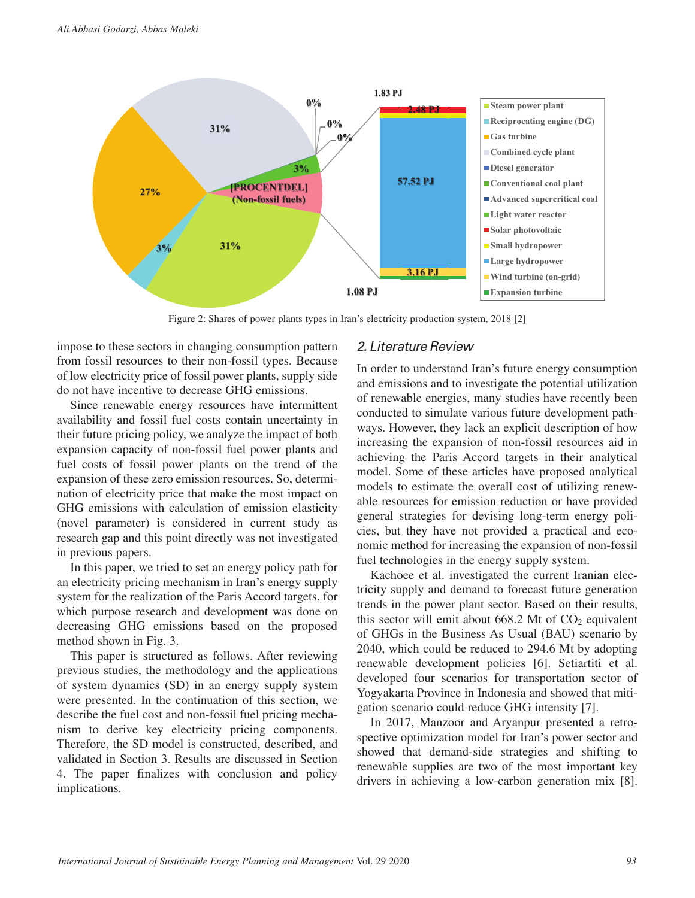

Figure 2: Shares of power plants types in Iran's electricity production system, 2018 [2]

impose to these sectors in changing consumption pattern from fossil resources to their non-fossil types. Because of low electricity price of fossil power plants, supply side do not have incentive to decrease GHG emissions.

Since renewable energy resources have intermittent availability and fossil fuel costs contain uncertainty in their future pricing policy, we analyze the impact of both expansion capacity of non-fossil fuel power plants and fuel costs of fossil power plants on the trend of the expansion of these zero emission resources. So, determination of electricity price that make the most impact on GHG emissions with calculation of emission elasticity (novel parameter) is considered in current study as research gap and this point directly was not investigated in previous papers.

In this paper, we tried to set an energy policy path for an electricity pricing mechanism in Iran's energy supply system for the realization of the Paris Accord targets, for which purpose research and development was done on decreasing GHG emissions based on the proposed method shown in Fig. 3.

This paper is structured as follows. After reviewing previous studies, the methodology and the applications of system dynamics (SD) in an energy supply system were presented. In the continuation of this section, we describe the fuel cost and non-fossil fuel pricing mechanism to derive key electricity pricing components. Therefore, the SD model is constructed, described, and validated in Section 3. Results are discussed in Section 4. The paper finalizes with conclusion and policy implications.

### *2. Literature Review*

In order to understand Iran's future energy consumption and emissions and to investigate the potential utilization of renewable energies, many studies have recently been conducted to simulate various future development pathways. However, they lack an explicit description of how increasing the expansion of non-fossil resources aid in achieving the Paris Accord targets in their analytical model. Some of these articles have proposed analytical models to estimate the overall cost of utilizing renewable resources for emission reduction or have provided general strategies for devising long-term energy policies, but they have not provided a practical and economic method for increasing the expansion of non-fossil fuel technologies in the energy supply system.

Kachoee et al. investigated the current Iranian electricity supply and demand to forecast future generation trends in the power plant sector. Based on their results, this sector will emit about  $668.2$  Mt of  $CO<sub>2</sub>$  equivalent of GHGs in the Business As Usual (BAU) scenario by 2040, which could be reduced to 294.6 Mt by adopting renewable development policies [6]. Setiartiti et al. developed four scenarios for transportation sector of Yogyakarta Province in Indonesia and showed that mitigation scenario could reduce GHG intensity [7].

In 2017, Manzoor and Aryanpur presented a retrospective optimization model for Iran's power sector and showed that demand-side strategies and shifting to renewable supplies are two of the most important key drivers in achieving a low-carbon generation mix [8].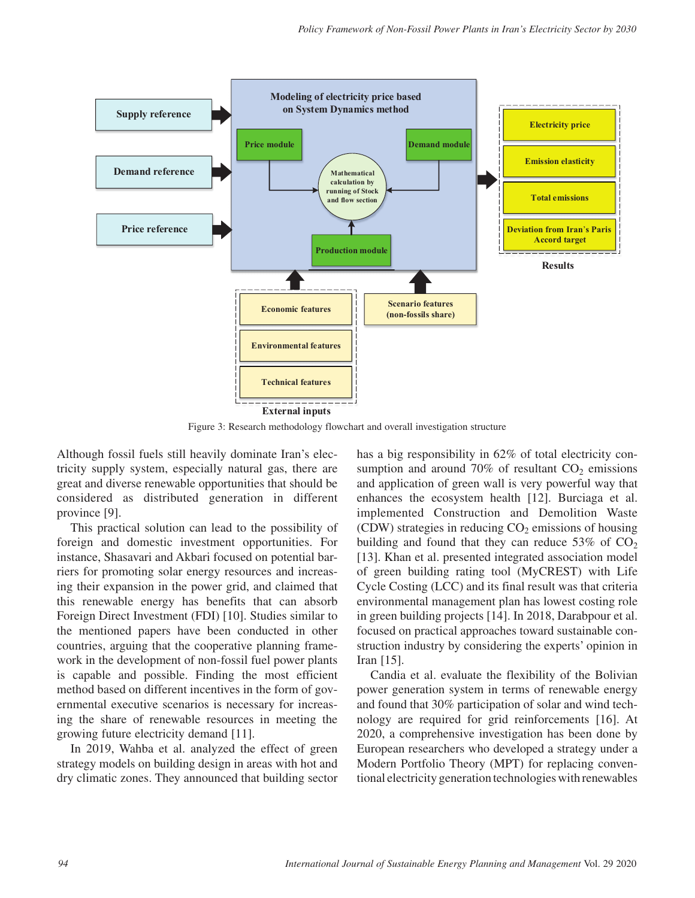

Figure 3: Research methodology flowchart and overall investigation structure

Although fossil fuels still heavily dominate Iran's electricity supply system, especially natural gas, there are great and diverse renewable opportunities that should be considered as distributed generation in different province [9].

This practical solution can lead to the possibility of foreign and domestic investment opportunities. For instance, Shasavari and Akbari focused on potential barriers for promoting solar energy resources and increasing their expansion in the power grid, and claimed that this renewable energy has benefits that can absorb Foreign Direct Investment (FDI) [10]. Studies similar to the mentioned papers have been conducted in other countries, arguing that the cooperative planning framework in the development of non-fossil fuel power plants is capable and possible. Finding the most efficient method based on different incentives in the form of governmental executive scenarios is necessary for increasing the share of renewable resources in meeting the growing future electricity demand [11].

In 2019, Wahba et al. analyzed the effect of green strategy models on building design in areas with hot and dry climatic zones. They announced that building sector

has a big responsibility in 62% of total electricity consumption and around  $70\%$  of resultant  $CO<sub>2</sub>$  emissions and application of green wall is very powerful way that enhances the ecosystem health [12]. Burciaga et al. implemented Construction and Demolition Waste (CDW) strategies in reducing  $CO<sub>2</sub>$  emissions of housing building and found that they can reduce  $53\%$  of  $CO<sub>2</sub>$ [13]. Khan et al. presented integrated association model of green building rating tool (MyCREST) with Life Cycle Costing (LCC) and its final result was that criteria environmental management plan has lowest costing role in green building projects [14]. In 2018, Darabpour et al. focused on practical approaches toward sustainable construction industry by considering the experts' opinion in Iran [15].

Candia et al. evaluate the flexibility of the Bolivian power generation system in terms of renewable energy and found that 30% participation of solar and wind technology are required for grid reinforcements [16]. At 2020, a comprehensive investigation has been done by European researchers who developed a strategy under a Modern Portfolio Theory (MPT) for replacing conventional electricity generation technologies with renewables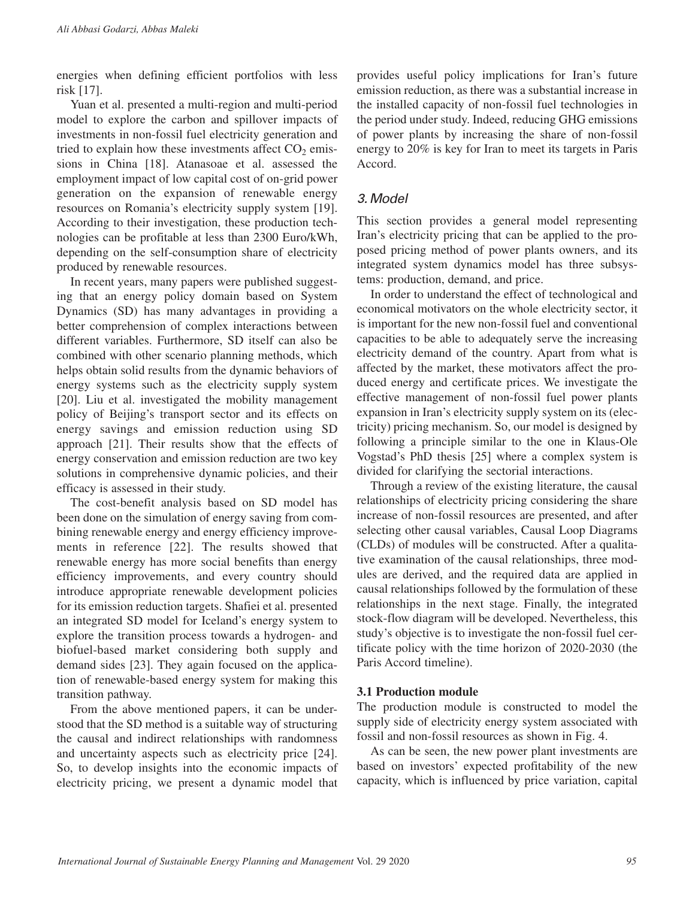energies when defining efficient portfolios with less risk [17].

Yuan et al. presented a multi-region and multi-period model to explore the carbon and spillover impacts of investments in non-fossil fuel electricity generation and tried to explain how these investments affect  $CO<sub>2</sub>$  emissions in China [18]. Atanasoae et al. assessed the employment impact of low capital cost of on-grid power generation on the expansion of renewable energy resources on Romania's electricity supply system [19]. According to their investigation, these production technologies can be profitable at less than 2300 Euro/kWh, depending on the self-consumption share of electricity produced by renewable resources.

In recent years, many papers were published suggesting that an energy policy domain based on System Dynamics (SD) has many advantages in providing a better comprehension of complex interactions between different variables. Furthermore, SD itself can also be combined with other scenario planning methods, which helps obtain solid results from the dynamic behaviors of energy systems such as the electricity supply system [20]. Liu et al. investigated the mobility management policy of Beijing's transport sector and its effects on energy savings and emission reduction using SD approach [21]. Their results show that the effects of energy conservation and emission reduction are two key solutions in comprehensive dynamic policies, and their efficacy is assessed in their study.

The cost-benefit analysis based on SD model has been done on the simulation of energy saving from combining renewable energy and energy efficiency improvements in reference [22]. The results showed that renewable energy has more social benefits than energy efficiency improvements, and every country should introduce appropriate renewable development policies for its emission reduction targets. Shafiei et al. presented an integrated SD model for Iceland's energy system to explore the transition process towards a hydrogen- and biofuel-based market considering both supply and demand sides [23]. They again focused on the application of renewable-based energy system for making this transition pathway.

From the above mentioned papers, it can be understood that the SD method is a suitable way of structuring the causal and indirect relationships with randomness and uncertainty aspects such as electricity price [24]. So, to develop insights into the economic impacts of electricity pricing, we present a dynamic model that

provides useful policy implications for Iran's future emission reduction, as there was a substantial increase in the installed capacity of non-fossil fuel technologies in the period under study. Indeed, reducing GHG emissions of power plants by increasing the share of non-fossil energy to 20% is key for Iran to meet its targets in Paris Accord.

# *3. Model*

This section provides a general model representing Iran's electricity pricing that can be applied to the proposed pricing method of power plants owners, and its integrated system dynamics model has three subsystems: production, demand, and price.

In order to understand the effect of technological and economical motivators on the whole electricity sector, it is important for the new non-fossil fuel and conventional capacities to be able to adequately serve the increasing electricity demand of the country. Apart from what is affected by the market, these motivators affect the produced energy and certificate prices. We investigate the effective management of non-fossil fuel power plants expansion in Iran's electricity supply system on its (electricity) pricing mechanism. So, our model is designed by following a principle similar to the one in Klaus-Ole Vogstad's PhD thesis [25] where a complex system is divided for clarifying the sectorial interactions.

Through a review of the existing literature, the causal relationships of electricity pricing considering the share increase of non-fossil resources are presented, and after selecting other causal variables, Causal Loop Diagrams (CLDs) of modules will be constructed. After a qualitative examination of the causal relationships, three modules are derived, and the required data are applied in causal relationships followed by the formulation of these relationships in the next stage. Finally, the integrated stock-flow diagram will be developed. Nevertheless, this study's objective is to investigate the non-fossil fuel certificate policy with the time horizon of 2020-2030 (the Paris Accord timeline).

### **3.1 Production module**

The production module is constructed to model the supply side of electricity energy system associated with fossil and non-fossil resources as shown in Fig. 4.

As can be seen, the new power plant investments are based on investors' expected profitability of the new capacity, which is influenced by price variation, capital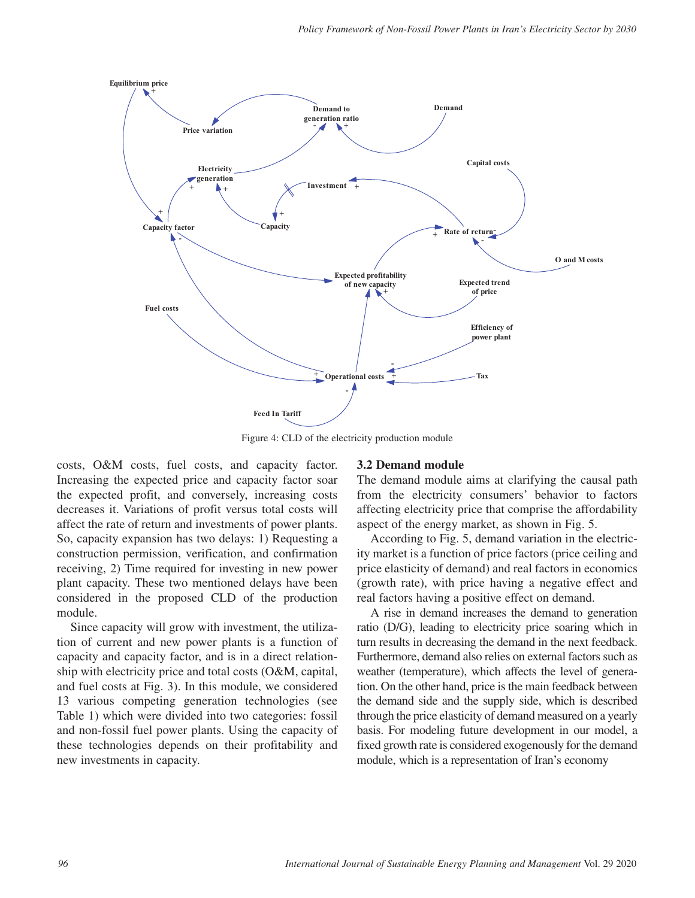

Figure 4: CLD of the electricity production module

costs, O&M costs, fuel costs, and capacity factor. Increasing the expected price and capacity factor soar the expected profit, and conversely, increasing costs decreases it. Variations of profit versus total costs will affect the rate of return and investments of power plants. So, capacity expansion has two delays: 1) Requesting a construction permission, verification, and confirmation receiving, 2) Time required for investing in new power plant capacity. These two mentioned delays have been considered in the proposed CLD of the production module.

Since capacity will grow with investment, the utilization of current and new power plants is a function of capacity and capacity factor, and is in a direct relationship with electricity price and total costs (O&M, capital, and fuel costs at Fig. 3). In this module, we considered 13 various competing generation technologies (see Table 1) which were divided into two categories: fossil and non-fossil fuel power plants. Using the capacity of these technologies depends on their profitability and new investments in capacity.

### **3.2 Demand module**

The demand module aims at clarifying the causal path from the electricity consumers' behavior to factors affecting electricity price that comprise the affordability aspect of the energy market, as shown in Fig. 5.

According to Fig. 5, demand variation in the electricity market is a function of price factors (price ceiling and price elasticity of demand) and real factors in economics (growth rate), with price having a negative effect and real factors having a positive effect on demand.

A rise in demand increases the demand to generation ratio (D/G), leading to electricity price soaring which in turn results in decreasing the demand in the next feedback. Furthermore, demand also relies on external factors such as weather (temperature), which affects the level of generation. On the other hand, price is the main feedback between the demand side and the supply side, which is described through the price elasticity of demand measured on a yearly basis. For modeling future development in our model, a fixed growth rate is considered exogenously for the demand module, which is a representation of Iran's economy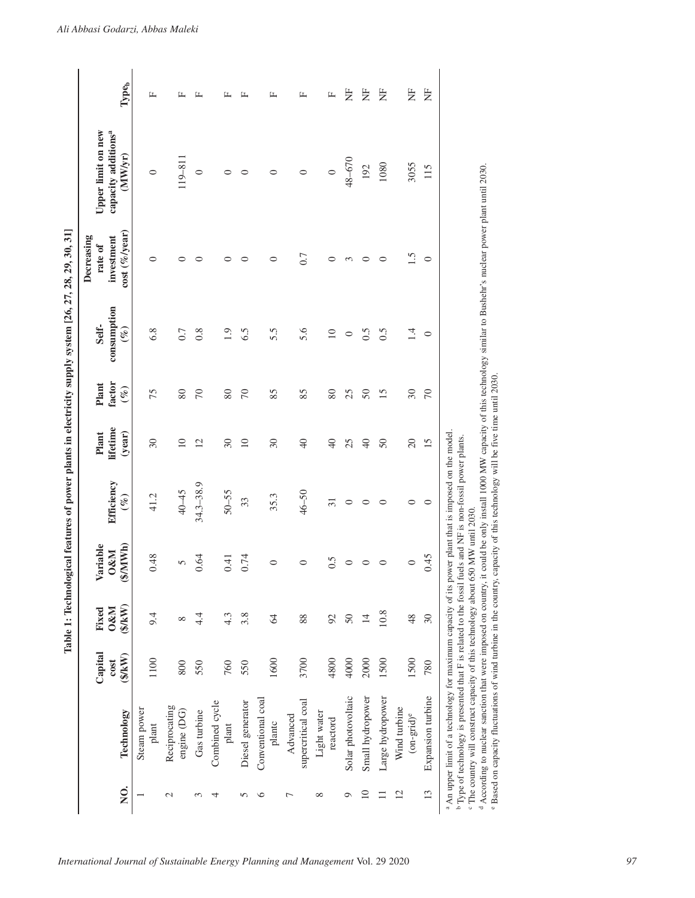| 1<br>i<br>l                                                                     |
|---------------------------------------------------------------------------------|
|                                                                                 |
|                                                                                 |
| $\sim$ $\sim$ $\sim$ $\sim$ $\sim$<br>ׇ֚֚֚֕                                     |
|                                                                                 |
| $\frac{1}{2}$<br>֖֖֖֖֖֖֖ׅ֖֧ׅ֖֧֪֪֪ׅ֖֧֪֪ׅ֖֚֚֚֚֚֚֚֚֚֚֚֚֚֚֚֚֚֚֚֚֚֚֚֚֚֚֚֚֚֡֝֝֟֩֝֓֞֝֝ |
|                                                                                 |
| ֚֓<br>ׇ֘֒                                                                       |
|                                                                                 |
| ŗ                                                                               |
| j                                                                               |
| $\begin{array}{c} \hline \end{array}$<br>$\overline{a}$<br>i                    |
|                                                                                 |
|                                                                                 |
|                                                                                 |
| J<br>$\overline{\phantom{a}}$                                                   |
| E                                                                               |
| I                                                                               |
| ļ<br>F                                                                          |

|                |                                                                                                                                                                                                                                                                                                                                                                                                                                                                                                                                                      |                         |                                     |                                              |                      |                             |                           | Table 1: Technological features of power plants in electricity supply system [26, 27, 28, 29, 30, 31] |                                                                                                                |                                                                         |                |
|----------------|------------------------------------------------------------------------------------------------------------------------------------------------------------------------------------------------------------------------------------------------------------------------------------------------------------------------------------------------------------------------------------------------------------------------------------------------------------------------------------------------------------------------------------------------------|-------------------------|-------------------------------------|----------------------------------------------|----------------------|-----------------------------|---------------------------|-------------------------------------------------------------------------------------------------------|----------------------------------------------------------------------------------------------------------------|-------------------------------------------------------------------------|----------------|
| Q.             | Technology                                                                                                                                                                                                                                                                                                                                                                                                                                                                                                                                           | Capital<br>\$KW<br>cost | $$$ /kW)<br><b>O&amp;M</b><br>Fixed | $(\frac{M}{M})$<br>ariable<br><b>D&amp;M</b> | Efficiency<br>$(\%)$ | lifetime<br>Plant<br>(year) | factor<br>Plant<br>$(\%)$ | consumption<br>Self-<br>$(\mathscr{C})$                                                               | $(\%$ /year)<br>Decreasing<br>investment<br>rate of<br>cost(                                                   | <b>Upper limit on new</b><br>capacity additions <sup>a</sup><br>(MW/yr) | Typeb          |
|                | Steam power<br>$_{\rm plant}$                                                                                                                                                                                                                                                                                                                                                                                                                                                                                                                        | 1100                    | 9.4                                 | 0.48                                         | 41.2                 | $30\,$                      | 75                        | 6.8                                                                                                   | 0                                                                                                              | $\circ$                                                                 | 山              |
| $\mathcal{L}$  | Reciprocating<br>engine (DG)                                                                                                                                                                                                                                                                                                                                                                                                                                                                                                                         | 800                     | ${}^{\circ}$                        | 5                                            | 40-45                | $\supseteq$                 | 80                        | 0.7                                                                                                   | 0                                                                                                              | $119 - 811$                                                             | 匞              |
| 3              | Gas turbine                                                                                                                                                                                                                                                                                                                                                                                                                                                                                                                                          | 550                     | $4\cdot$                            | 0.64                                         | $34.3 - 38.9$        | $\overline{c}$              | $\sqrt{2}$                | 0.8                                                                                                   | ⊂                                                                                                              | $\circ$                                                                 | 匞              |
| 4              | Combined cycle<br>plant                                                                                                                                                                                                                                                                                                                                                                                                                                                                                                                              | 760                     | $4.\overline{3}$                    | 0.41                                         | $50 - 55$            | $30\,$                      | 80                        | $\overline{1.9}$                                                                                      | 0                                                                                                              | $\circ$                                                                 | 山              |
| 5              | Diesel generator                                                                                                                                                                                                                                                                                                                                                                                                                                                                                                                                     | 550                     | 3.8                                 | 0.74                                         | 33                   | $\supseteq$                 | $\sqrt{2}$                | 6.5                                                                                                   | 0                                                                                                              | $\circ$                                                                 | 匞              |
| ७              | Conventional coal<br>plantc                                                                                                                                                                                                                                                                                                                                                                                                                                                                                                                          | 1600                    | 2                                   | ⊂                                            | 35.3                 | $\overline{\mathcal{E}}$    | 85                        | 5.5                                                                                                   | 0                                                                                                              | 0                                                                       | $\mathbf{L}$   |
| Γ              | supercritical coal<br>Advanced                                                                                                                                                                                                                                                                                                                                                                                                                                                                                                                       | 3700                    | 88                                  | ○                                            | $46 - 50$            | $\Theta$                    | 85                        | 5.6                                                                                                   | 0.7                                                                                                            | $\circ$                                                                 | 匞              |
| $\infty$       | Light water<br>reactord                                                                                                                                                                                                                                                                                                                                                                                                                                                                                                                              | 4800                    | 92                                  | 0.5                                          | $\overline{31}$      | $\overline{4}$              | 80                        | $\overline{10}$                                                                                       | 0                                                                                                              | $\circ$                                                                 | щ              |
| Q              | Solar photovoltaic                                                                                                                                                                                                                                                                                                                                                                                                                                                                                                                                   | 4000                    | $50\,$                              | 0                                            | $\circ$              | 25                          | 25                        | $\circ$                                                                                               | 3                                                                                                              | 48-670                                                                  | Ë              |
| $\Xi$          | Small hydropower                                                                                                                                                                                                                                                                                                                                                                                                                                                                                                                                     | 2000                    | $\overline{4}$                      | ⊂                                            | 0                    | $\overline{4}$              | $50\,$                    | 0.5                                                                                                   | 0                                                                                                              | 192                                                                     | E              |
| $\equiv$       | Large hydropower                                                                                                                                                                                                                                                                                                                                                                                                                                                                                                                                     | 1500                    | 10.8                                | $\circ$                                      | $\circ$              | $50\,$                      | $\overline{15}$           | 0.5                                                                                                   | $\circ$                                                                                                        | 1080                                                                    | E              |
| $\overline{c}$ | Wind turbine<br>$(on\text{-}\text{grid})^e$                                                                                                                                                                                                                                                                                                                                                                                                                                                                                                          | 1500                    | 48                                  | $\circ$                                      | 0                    | $\Omega$                    | $30\,$                    | $\vec{A}$                                                                                             | $\tilde{S}$                                                                                                    | 3055                                                                    | $\overline{z}$ |
| 13             | Expansion turbine                                                                                                                                                                                                                                                                                                                                                                                                                                                                                                                                    | 780                     | $\mathfrak{S}0$                     | 0.45                                         | $\circ$              | 15                          | $\sqrt{2}$                | $\circ$                                                                                               | $\circ$                                                                                                        | 115                                                                     | $\overline{z}$ |
|                | <sup>e</sup> Based on capacity fluctuations of wind turbine in the country, capacity of this technology will be five time until 2030.<br><sup>a</sup> An upper limit of a technology for maximum capacity of its power plant that is imposed on the model<br><sup>b</sup> Type of technology is presented that F is related to the fossil fuels and NF is non-fossil power plants.<br>The country will construct capacity of this technology about 650 MW until 2030.<br><sup>d</sup> According to nuclear sanction that were imposed on country, it |                         |                                     |                                              |                      |                             |                           |                                                                                                       | could be only install 1000 MW capacity of this technology similar to Bushehr's nuclear power plant until 2030. |                                                                         |                |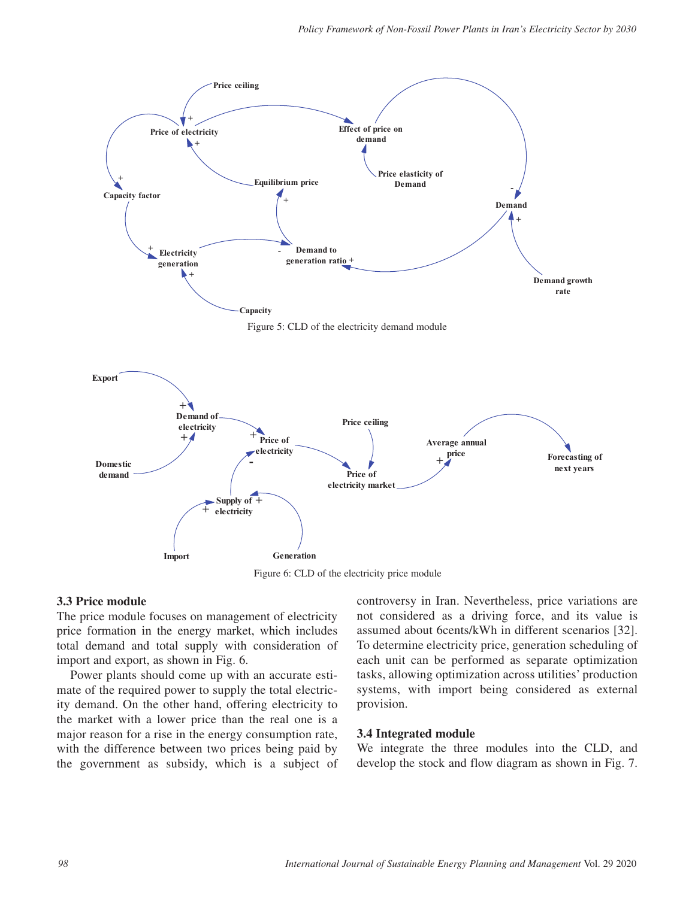

Figure 6: CLD of the electricity price module

#### **3.3 Price module**

The price module focuses on management of electricity price formation in the energy market, which includes total demand and total supply with consideration of import and export, as shown in Fig. 6.

Power plants should come up with an accurate estimate of the required power to supply the total electricity demand. On the other hand, offering electricity to the market with a lower price than the real one is a major reason for a rise in the energy consumption rate, with the difference between two prices being paid by the government as subsidy, which is a subject of controversy in Iran. Nevertheless, price variations are not considered as a driving force, and its value is assumed about 6cents/kWh in different scenarios [32]. To determine electricity price, generation scheduling of each unit can be performed as separate optimization tasks, allowing optimization across utilities' production systems, with import being considered as external provision.

#### **3.4 Integrated module**

We integrate the three modules into the CLD, and develop the stock and flow diagram as shown in Fig. 7.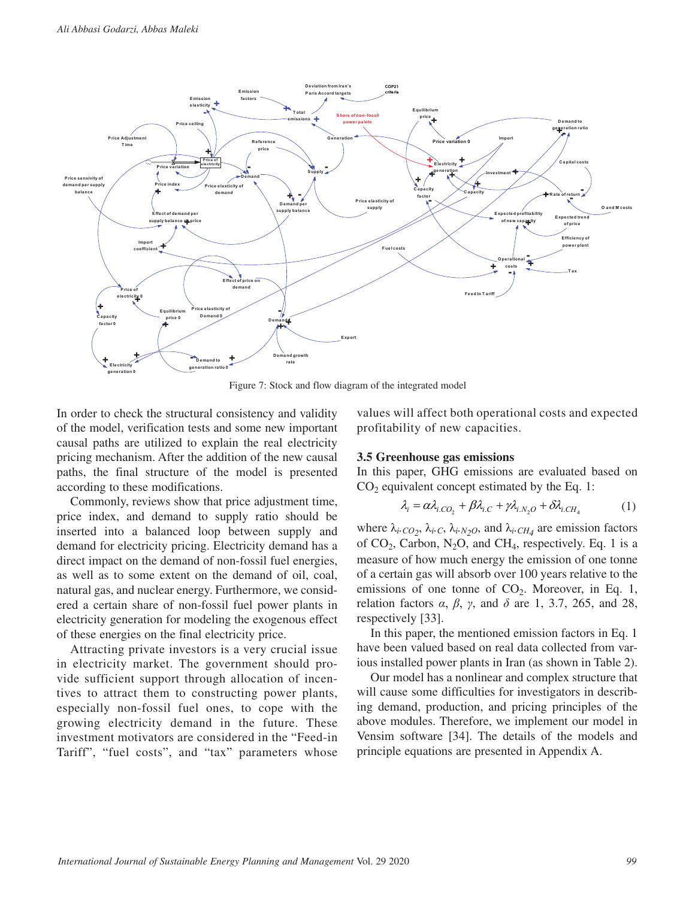

Figure 7: Stock and flow diagram of the integrated model

In order to check the structural consistency and validity of the model, verification tests and some new important causal paths are utilized to explain the real electricity pricing mechanism. After the addition of the new causal paths, the final structure of the model is presented according to these modifications.

Commonly, reviews show that price adjustment time, price index, and demand to supply ratio should be inserted into a balanced loop between supply and demand for electricity pricing. Electricity demand has a direct impact on the demand of non-fossil fuel energies, as well as to some extent on the demand of oil, coal, natural gas, and nuclear energy. Furthermore, we considered a certain share of non-fossil fuel power plants in electricity generation for modeling the exogenous effect of these energies on the final electricity price.

Attracting private investors is a very crucial issue in electricity market. The government should provide sufficient support through allocation of incentives to attract them to constructing power plants, especially non-fossil fuel ones, to cope with the growing electricity demand in the future. These investment motivators are considered in the "Feed-in Tariff", "fuel costs", and "tax" parameters whose values will affect both operational costs and expected profitability of new capacities.

#### **3.5 Greenhouse gas emissions**

In this paper, GHG emissions are evaluated based on  $CO<sub>2</sub>$  equivalent concept estimated by the Eq. 1:

$$
\lambda_i = \alpha \lambda_{i, CO_2} + \beta \lambda_{i, C} + \gamma \lambda_{i, N_2O} + \delta \lambda_{i, CH_4}
$$
 (1)

where  $\lambda_i$ .  $_{CO_2}$ ,  $\lambda_i$ .  $_C$ ,  $\lambda_i$ .  $_{N_2O}$ , and  $\lambda_i$ .  $_{CH_4}$  are emission factors of  $CO_2$ , Carbon, N<sub>2</sub>O, and CH<sub>4</sub>, respectively. Eq. 1 is a measure of how much energy the emission of one tonne of a certain gas will absorb over 100 years relative to the emissions of one tonne of  $CO<sub>2</sub>$ . Moreover, in Eq. 1, relation factors *α*, *β*, *γ*, and *δ* are 1, 3.7, 265, and 28, respectively [33].

In this paper, the mentioned emission factors in Eq. 1 have been valued based on real data collected from various installed power plants in Iran (as shown in Table 2).

Our model has a nonlinear and complex structure that will cause some difficulties for investigators in describing demand, production, and pricing principles of the above modules. Therefore, we implement our model in Vensim software [34]. The details of the models and principle equations are presented in Appendix A.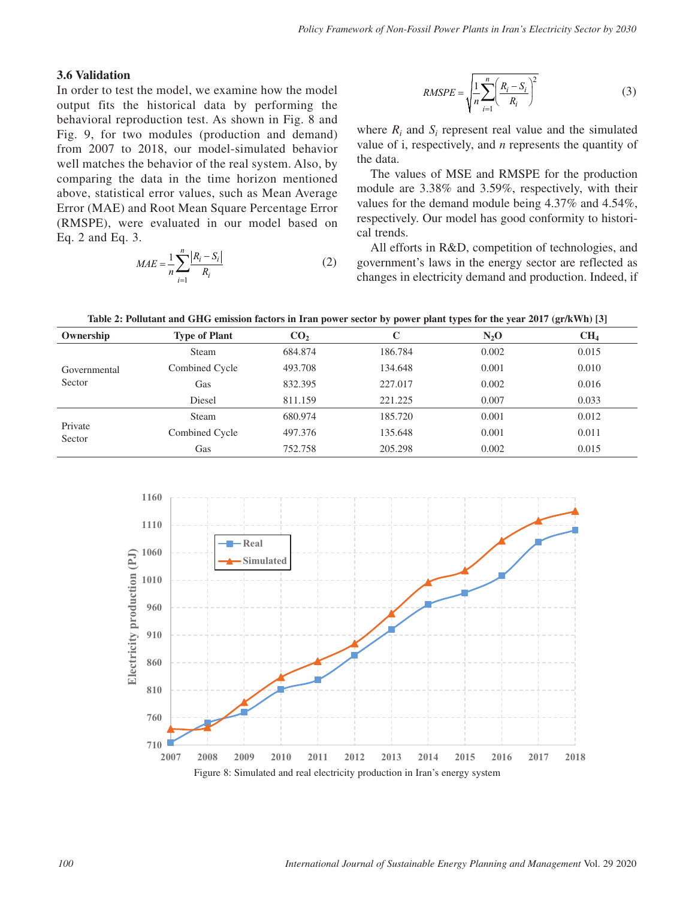#### **3.6 Validation**

In order to test the model, we examine how the model output fits the historical data by performing the behavioral reproduction test. As shown in Fig. 8 and Fig. 9, for two modules (production and demand) from 2007 to 2018, our model-simulated behavior well matches the behavior of the real system. Also, by comparing the data in the time horizon mentioned above, statistical error values, such as Mean Average Error (MAE) and Root Mean Square Percentage Error (RMSPE), were evaluated in our model based on Eq. 2 and Eq. 3.

$$
MAE = \frac{1}{n} \sum_{i=1}^{n} \frac{|R_i - S_i|}{R_i}
$$
 (2)

$$
RMSPE = \sqrt{\frac{1}{n} \sum_{i=1}^{n} \left(\frac{R_i - S_i}{R_i}\right)^2}
$$
(3)

where  $R_i$  and  $S_i$  represent real value and the simulated value of i, respectively, and *n* represents the quantity of the data.

The values of MSE and RMSPE for the production module are 3.38% and 3.59%, respectively, with their values for the demand module being 4.37% and 4.54%, respectively. Our model has good conformity to historical trends.

All efforts in R&D, competition of technologies, and government's laws in the energy sector are reflected as changes in electricity demand and production. Indeed, if

**Table 2: Pollutant and GHG emission factors in Iran power sector by power plant types for the year 2017 (gr/kWh) [3]**

| Ownership         | <b>Type of Plant</b> | CO <sub>2</sub> | С       | $N_2$ O | CH <sub>4</sub> |
|-------------------|----------------------|-----------------|---------|---------|-----------------|
|                   | <b>Steam</b>         | 684.874         | 186.784 | 0.002   | 0.015           |
| Governmental      | Combined Cycle       | 493.708         | 134.648 | 0.001   | 0.010           |
| Sector            | Gas                  | 832.395         | 227.017 | 0.002   | 0.016           |
|                   | Diesel               | 811.159         | 221.225 | 0.007   | 0.033           |
|                   | <b>Steam</b>         | 680.974         | 185.720 | 0.001   | 0.012           |
| Private<br>Sector | Combined Cycle       | 497.376         | 135.648 | 0.001   | 0.011           |
|                   | Gas                  | 752.758         | 205.298 | 0.002   | 0.015           |

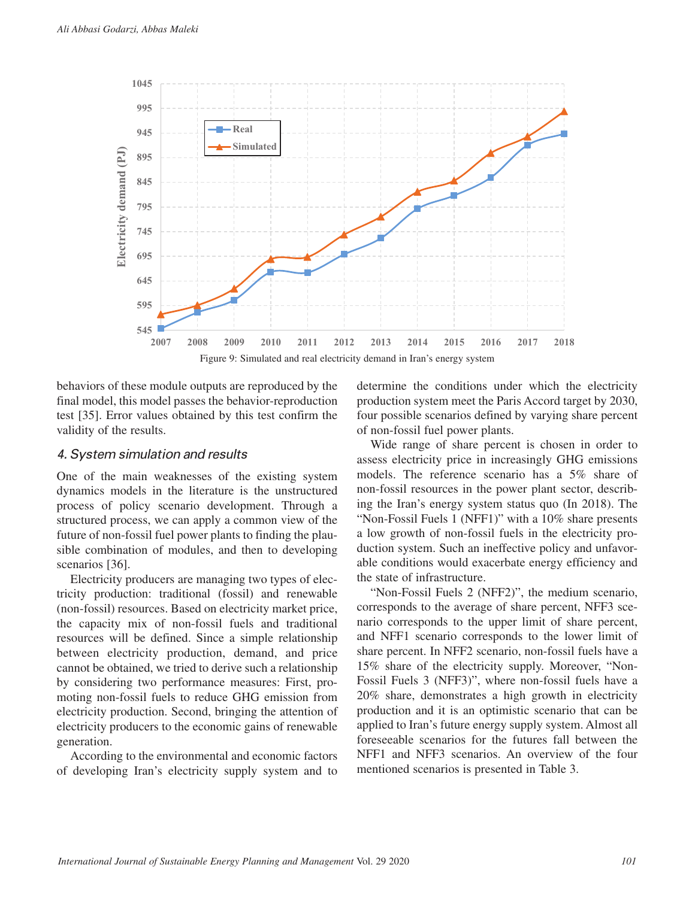

Figure 9: Simulated and real electricity demand in Iran's energy system

behaviors of these module outputs are reproduced by the final model, this model passes the behavior-reproduction test [35]. Error values obtained by this test confirm the validity of the results.

#### *4. System simulation and results*

One of the main weaknesses of the existing system dynamics models in the literature is the unstructured process of policy scenario development. Through a structured process, we can apply a common view of the future of non-fossil fuel power plants to finding the plausible combination of modules, and then to developing scenarios [36].

Electricity producers are managing two types of electricity production: traditional (fossil) and renewable (non-fossil) resources. Based on electricity market price, the capacity mix of non-fossil fuels and traditional resources will be defined. Since a simple relationship between electricity production, demand, and price cannot be obtained, we tried to derive such a relationship by considering two performance measures: First, promoting non-fossil fuels to reduce GHG emission from electricity production. Second, bringing the attention of electricity producers to the economic gains of renewable generation.

According to the environmental and economic factors of developing Iran's electricity supply system and to

determine the conditions under which the electricity production system meet the Paris Accord target by 2030, four possible scenarios defined by varying share percent of non-fossil fuel power plants.

Wide range of share percent is chosen in order to assess electricity price in increasingly GHG emissions models. The reference scenario has a 5% share of non-fossil resources in the power plant sector, describing the Iran's energy system status quo (In 2018). The "Non-Fossil Fuels 1 (NFF1)" with a 10% share presents a low growth of non-fossil fuels in the electricity production system. Such an ineffective policy and unfavorable conditions would exacerbate energy efficiency and the state of infrastructure.

"Non-Fossil Fuels 2 (NFF2)", the medium scenario, corresponds to the average of share percent, NFF3 scenario corresponds to the upper limit of share percent, and NFF1 scenario corresponds to the lower limit of share percent. In NFF2 scenario, non-fossil fuels have a 15% share of the electricity supply. Moreover, "Non-Fossil Fuels 3 (NFF3)", where non-fossil fuels have a 20% share, demonstrates a high growth in electricity production and it is an optimistic scenario that can be applied to Iran's future energy supply system. Almost all foreseeable scenarios for the futures fall between the NFF1 and NFF3 scenarios. An overview of the four mentioned scenarios is presented in Table 3.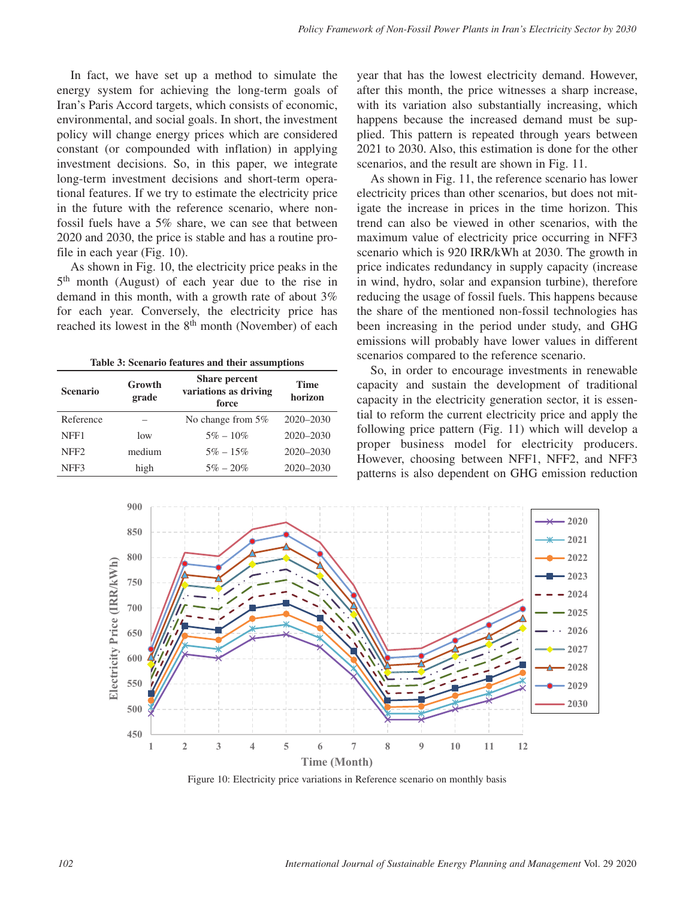In fact, we have set up a method to simulate the energy system for achieving the long-term goals of Iran's Paris Accord targets, which consists of economic, environmental, and social goals. In short, the investment policy will change energy prices which are considered constant (or compounded with inflation) in applying investment decisions. So, in this paper, we integrate long-term investment decisions and short-term operational features. If we try to estimate the electricity price in the future with the reference scenario, where nonfossil fuels have a 5% share, we can see that between 2020 and 2030, the price is stable and has a routine profile in each year (Fig. 10).

As shown in Fig. 10, the electricity price peaks in the 5<sup>th</sup> month (August) of each year due to the rise in demand in this month, with a growth rate of about 3% for each year. Conversely, the electricity price has reached its lowest in the 8<sup>th</sup> month (November) of each

**Table 3: Scenario features and their assumptions**

| <b>Scenario</b>  | Growth<br>grade | <b>Share percent</b><br>variations as driving<br>force | <b>Time</b><br>horizon |  |  |
|------------------|-----------------|--------------------------------------------------------|------------------------|--|--|
| Reference        |                 | No change from 5%                                      | 2020-2030              |  |  |
| NFF1             | low             | $5\% - 10\%$                                           | $2020 - 2030$          |  |  |
| NFF <sub>2</sub> | medium          | $5\% - 15\%$                                           | $2020 - 2030$          |  |  |
| NFF3             | high            | $5\% - 20\%$                                           | $2020 - 2030$          |  |  |

year that has the lowest electricity demand. However, after this month, the price witnesses a sharp increase, with its variation also substantially increasing, which happens because the increased demand must be supplied. This pattern is repeated through years between 2021 to 2030. Also, this estimation is done for the other scenarios, and the result are shown in Fig. 11.

As shown in Fig. 11, the reference scenario has lower electricity prices than other scenarios, but does not mitigate the increase in prices in the time horizon. This trend can also be viewed in other scenarios, with the maximum value of electricity price occurring in NFF3 scenario which is 920 IRR/kWh at 2030. The growth in price indicates redundancy in supply capacity (increase in wind, hydro, solar and expansion turbine), therefore reducing the usage of fossil fuels. This happens because the share of the mentioned non-fossil technologies has been increasing in the period under study, and GHG emissions will probably have lower values in different scenarios compared to the reference scenario.

So, in order to encourage investments in renewable capacity and sustain the development of traditional capacity in the electricity generation sector, it is essential to reform the current electricity price and apply the following price pattern (Fig. 11) which will develop a proper business model for electricity producers. However, choosing between NFF1, NFF2, and NFF3 patterns is also dependent on GHG emission reduction



Figure 10: Electricity price variations in Reference scenario on monthly basis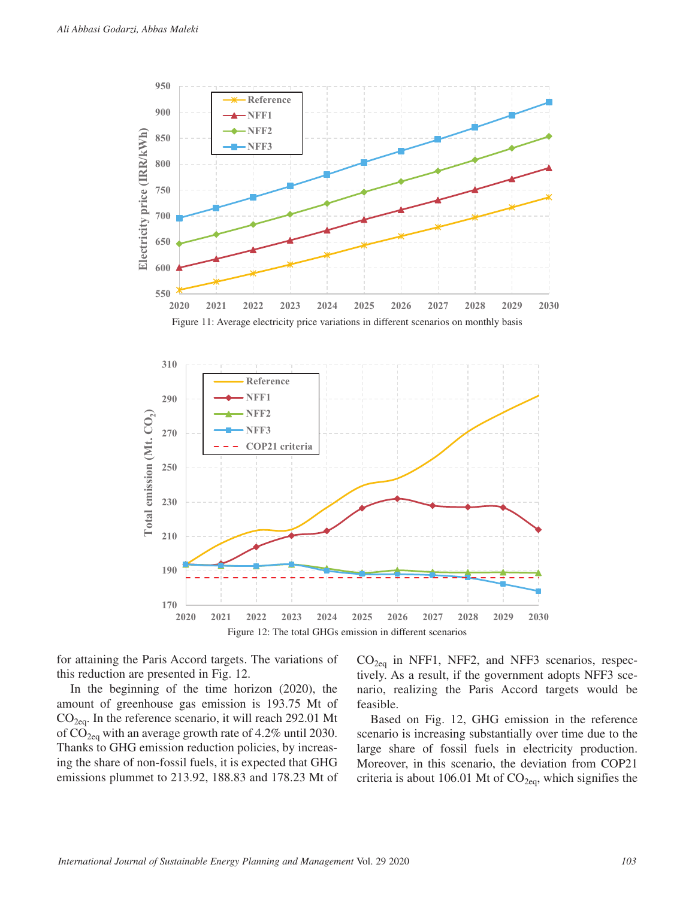

for attaining the Paris Accord targets. The variations of this reduction are presented in Fig. 12.

In the beginning of the time horizon (2020), the amount of greenhouse gas emission is 193.75 Mt of  $CO<sub>2eq</sub>$ . In the reference scenario, it will reach 292.01 Mt of  $CO<sub>2eq</sub>$  with an average growth rate of 4.2% until 2030. Thanks to GHG emission reduction policies, by increasing the share of non-fossil fuels, it is expected that GHG emissions plummet to 213.92, 188.83 and 178.23 Mt of  $CO<sub>2eq</sub>$  in NFF1, NFF2, and NFF3 scenarios, respectively. As a result, if the government adopts NFF3 scenario, realizing the Paris Accord targets would be feasible.

Based on Fig. 12, GHG emission in the reference scenario is increasing substantially over time due to the large share of fossil fuels in electricity production. Moreover, in this scenario, the deviation from COP21 criteria is about 106.01 Mt of  $CO<sub>2eq</sub>$ , which signifies the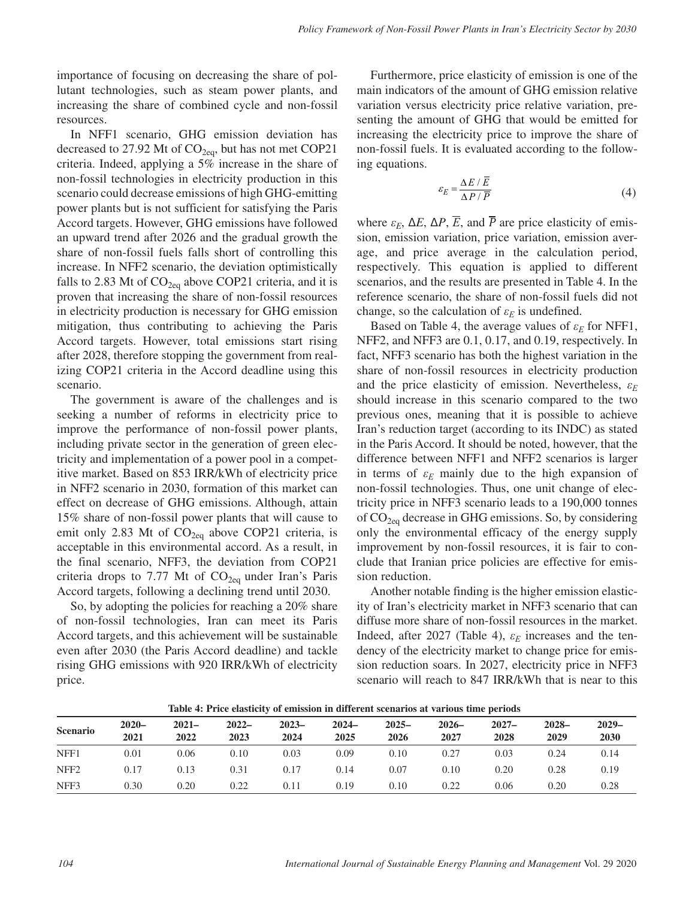importance of focusing on decreasing the share of pollutant technologies, such as steam power plants, and increasing the share of combined cycle and non-fossil resources.

In NFF1 scenario, GHG emission deviation has decreased to 27.92 Mt of  $CO<sub>2eq</sub>$ , but has not met COP21 criteria. Indeed, applying a 5% increase in the share of non-fossil technologies in electricity production in this scenario could decrease emissions of high GHG-emitting power plants but is not sufficient for satisfying the Paris Accord targets. However, GHG emissions have followed an upward trend after 2026 and the gradual growth the share of non-fossil fuels falls short of controlling this increase. In NFF2 scenario, the deviation optimistically falls to 2.83 Mt of  $CO<sub>2eq</sub>$  above COP21 criteria, and it is proven that increasing the share of non-fossil resources in electricity production is necessary for GHG emission mitigation, thus contributing to achieving the Paris Accord targets. However, total emissions start rising after 2028, therefore stopping the government from realizing COP21 criteria in the Accord deadline using this scenario.

The government is aware of the challenges and is seeking a number of reforms in electricity price to improve the performance of non-fossil power plants, including private sector in the generation of green electricity and implementation of a power pool in a competitive market. Based on 853 IRR/kWh of electricity price in NFF2 scenario in 2030, formation of this market can effect on decrease of GHG emissions. Although, attain 15% share of non-fossil power plants that will cause to emit only 2.83 Mt of  $CO<sub>2eq</sub>$  above COP21 criteria, is acceptable in this environmental accord. As a result, in the final scenario, NFF3, the deviation from COP21 criteria drops to 7.77 Mt of  $CO<sub>2eq</sub>$  under Iran's Paris Accord targets, following a declining trend until 2030.

So, by adopting the policies for reaching a 20% share of non-fossil technologies, Iran can meet its Paris Accord targets, and this achievement will be sustainable even after 2030 (the Paris Accord deadline) and tackle rising GHG emissions with 920 IRR/kWh of electricity price.

Furthermore, price elasticity of emission is one of the main indicators of the amount of GHG emission relative variation versus electricity price relative variation, presenting the amount of GHG that would be emitted for increasing the electricity price to improve the share of non-fossil fuels. It is evaluated according to the following equations.

$$
\varepsilon_E = \frac{\Delta E / \overline{E}}{\Delta P / \overline{P}} \tag{4}
$$

where  $ε_E$ ,  $ΔE$ ,  $ΔP$ ,  $\overline{E}$ , and  $\overline{P}$  are price elasticity of emission, emission variation, price variation, emission average, and price average in the calculation period, respectively. This equation is applied to different scenarios, and the results are presented in Table 4. In the reference scenario, the share of non-fossil fuels did not change, so the calculation of  $\varepsilon_E$  is undefined.

Based on Table 4, the average values of  $\varepsilon_E$  for NFF1, NFF2, and NFF3 are 0.1, 0.17, and 0.19, respectively. In fact, NFF3 scenario has both the highest variation in the share of non-fossil resources in electricity production and the price elasticity of emission. Nevertheless, *ε<sup>E</sup>* should increase in this scenario compared to the two previous ones, meaning that it is possible to achieve Iran's reduction target (according to its INDC) as stated in the Paris Accord. It should be noted, however, that the difference between NFF1 and NFF2 scenarios is larger in terms of  $\varepsilon_E$  mainly due to the high expansion of non-fossil technologies. Thus, one unit change of electricity price in NFF3 scenario leads to a 190,000 tonnes of  $CO<sub>2eq</sub>$  decrease in GHG emissions. So, by considering only the environmental efficacy of the energy supply improvement by non-fossil resources, it is fair to conclude that Iranian price policies are effective for emission reduction.

Another notable finding is the higher emission elasticity of Iran's electricity market in NFF3 scenario that can diffuse more share of non-fossil resources in the market. Indeed, after 2027 (Table 4),  $\varepsilon_E$  increases and the tendency of the electricity market to change price for emission reduction soars. In 2027, electricity price in NFF3 scenario will reach to 847 IRR/kWh that is near to this

| <b>Scenario</b>  | $2020 -$<br>2021 | $2021 -$<br>2022 | $2022 -$<br>2023 | $2023 -$<br>2024 | $2024 -$<br>2025 | $2025 -$<br>2026 | $2026-$<br>2027 | $2027 -$<br>2028 | $2028 -$<br>2029 | $2029-$<br>2030 |
|------------------|------------------|------------------|------------------|------------------|------------------|------------------|-----------------|------------------|------------------|-----------------|
| NFF1             | 0.01             | 0.06             | 0.10             | 0.03             | 0.09             | 0.10             | 0.27            | 0.03             | 0.24             | 0.14            |
| NFF <sub>2</sub> | 0.17             | 0.13             | 0.31             | 0.17             | 0.14             | 0.07             | 0.10            | 0.20             | 0.28             | 0.19            |
| NFF3             | 0.30             | 0.20             | 0.22             | 0.11             | 0.19             | 0.10             | 0.22            | 0.06             | 0.20             | 0.28            |

**Table 4: Price elasticity of emission in different scenarios at various time periods**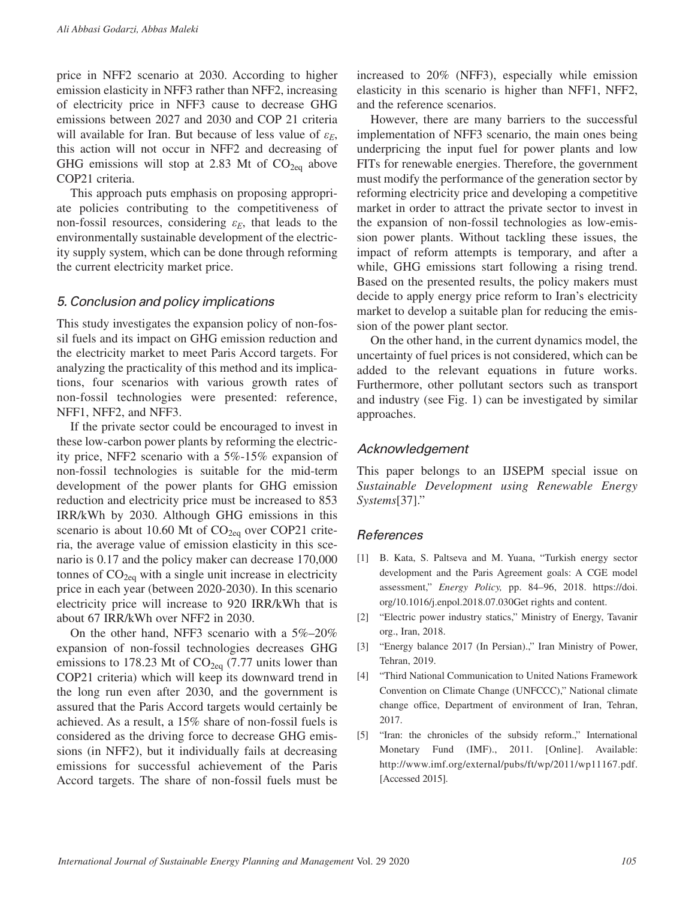price in NFF2 scenario at 2030. According to higher emission elasticity in NFF3 rather than NFF2, increasing of electricity price in NFF3 cause to decrease GHG emissions between 2027 and 2030 and COP 21 criteria will available for Iran. But because of less value of  $\varepsilon_F$ , this action will not occur in NFF2 and decreasing of GHG emissions will stop at 2.83 Mt of  $CO<sub>2ea</sub>$  above COP21 criteria.

This approach puts emphasis on proposing appropriate policies contributing to the competitiveness of non-fossil resources, considering  $\varepsilon_E$ , that leads to the environmentally sustainable development of the electricity supply system, which can be done through reforming the current electricity market price.

#### *5. Conclusion and policy implications*

This study investigates the expansion policy of non-fossil fuels and its impact on GHG emission reduction and the electricity market to meet Paris Accord targets. For analyzing the practicality of this method and its implications, four scenarios with various growth rates of non-fossil technologies were presented: reference, NFF1, NFF2, and NFF3.

If the private sector could be encouraged to invest in these low-carbon power plants by reforming the electricity price, NFF2 scenario with a 5%-15% expansion of non-fossil technologies is suitable for the mid-term development of the power plants for GHG emission reduction and electricity price must be increased to 853 IRR/kWh by 2030. Although GHG emissions in this scenario is about 10.60 Mt of  $CO<sub>2eq</sub>$  over COP21 criteria, the average value of emission elasticity in this scenario is 0.17 and the policy maker can decrease 170,000 tonnes of  $CO<sub>2eq</sub>$  with a single unit increase in electricity price in each year (between 2020-2030). In this scenario electricity price will increase to 920 IRR/kWh that is about 67 IRR/kWh over NFF2 in 2030.

On the other hand, NFF3 scenario with a 5%–20% expansion of non-fossil technologies decreases GHG emissions to 178.23 Mt of  $CO<sub>2eq</sub>$  (7.77 units lower than COP21 criteria) which will keep its downward trend in the long run even after 2030, and the government is assured that the Paris Accord targets would certainly be achieved. As a result, a 15% share of non-fossil fuels is considered as the driving force to decrease GHG emissions (in NFF2), but it individually fails at decreasing emissions for successful achievement of the Paris Accord targets. The share of non-fossil fuels must be

increased to 20% (NFF3), especially while emission elasticity in this scenario is higher than NFF1, NFF2, and the reference scenarios.

However, there are many barriers to the successful implementation of NFF3 scenario, the main ones being underpricing the input fuel for power plants and low FITs for renewable energies. Therefore, the government must modify the performance of the generation sector by reforming electricity price and developing a competitive market in order to attract the private sector to invest in the expansion of non-fossil technologies as low-emission power plants. Without tackling these issues, the impact of reform attempts is temporary, and after a while, GHG emissions start following a rising trend. Based on the presented results, the policy makers must decide to apply energy price reform to Iran's electricity market to develop a suitable plan for reducing the emission of the power plant sector.

On the other hand, in the current dynamics model, the uncertainty of fuel prices is not considered, which can be added to the relevant equations in future works. Furthermore, other pollutant sectors such as transport and industry (see Fig. 1) can be investigated by similar approaches.

#### *Acknowledgement*

This paper belongs to an IJSEPM special issue on *Sustainable Development using Renewable Energy Systems*[37]."

#### *References*

- [1] B. Kata, S. Paltseva and M. Yuana, "Turkish energy sector development and the Paris Agreement goals: A CGE model assessment," *Energy Policy,* pp. 84–96, 2018. [https://doi.](https://doi.org/10.1016/j.enpol.2018.07.030Get) [org/10.1016/j.enpol.2018.07.030Get](https://doi.org/10.1016/j.enpol.2018.07.030Get) rights and content.
- [2] "Electric power industry statics," Ministry of Energy, Tavanir org., Iran, 2018.
- [3] "Energy balance 2017 (In Persian).," Iran Ministry of Power, Tehran, 2019.
- [4] "Third National Communication to United Nations Framework Convention on Climate Change (UNFCCC)," National climate change office, Department of environment of Iran, Tehran, 2017.
- [5] "Iran: the chronicles of the subsidy reform.," International Monetary Fund (IMF)., 2011. [Online]. Available: [http://www.imf.org/external/pubs/ft/wp/2011/wp11167.pdf.](http://www.imf.org/external/pubs/ft/wp/2011/wp11167.pdf) [Accessed 2015].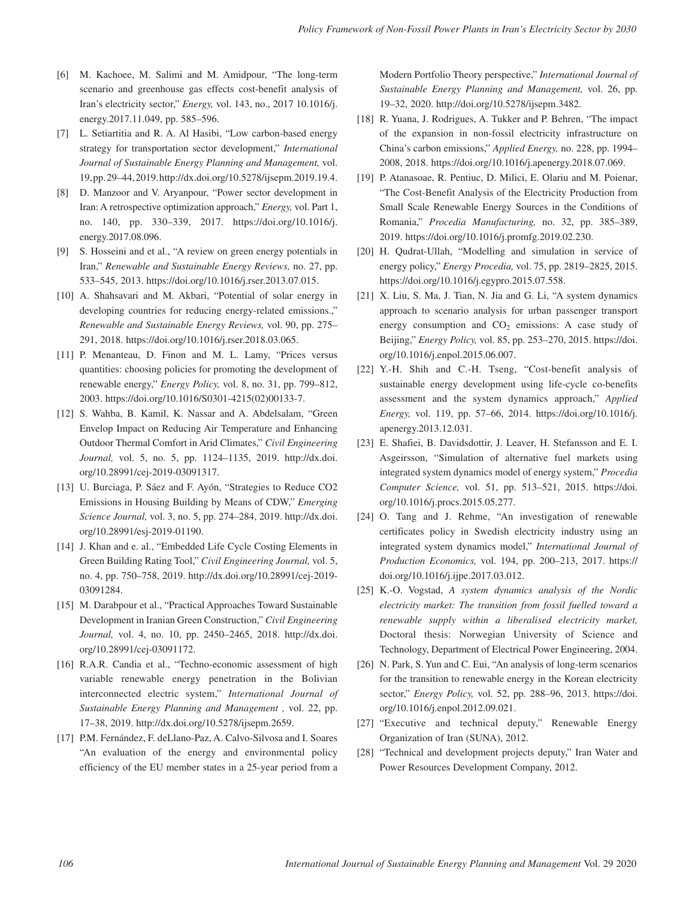- [6] M. Kachoee, M. Salimi and M. Amidpour, "The long-term scenario and greenhouse gas effects cost-benefit analysis of Iran's electricity sector," *Energy,* vol. 143, no., 2017 [10.1016/j.](http://10.1016/j.energy) [energy.](http://10.1016/j.energy)2017.11.049, pp. 585–596.
- [7] L. Setiartitia and R. A. Al Hasibi, "Low carbon-based energy strategy for transportation sector development," *International Journal of Sustainable Energy Planning and Management,* vol. 19, pp. 29–44, 2019. [http://dx.doi.org/10.5278/ijsepm.2019.19.](http://dx.doi.org/10.5278/ijsepm.2019.19)4.
- [8] D. Manzoor and V. Aryanpour, "Power sector development in Iran: A retrospective optimization approach," *Energy,* vol. Part 1, no. 140, pp. 330–339, 2017. [https://doi.org/10.1016/j.](https://doi.org/10.1016/j.energy.2017.08.096) [energy.2017.08.096](https://doi.org/10.1016/j.energy.2017.08.096).
- [9] S. Hosseini and et al., "A review on green energy potentials in Iran," *Renewable and Sustainable Energy Reviews,* no. 27, pp. 533–545, 2013. [https://doi.org/10.1016/j.rser.2013.07.015.](https://doi.org/10.1016/j.rser.2013.07.015)
- [10] A. Shahsavari and M. Akbari, "Potential of solar energy in developing countries for reducing energy-related emissions.," *Renewable and Sustainable Energy Reviews,* vol. 90, pp. 275– 291, 2018. [https://doi.org/10.1016/j.rser.2018.03.065.](https://doi.org/10.1016/j.rser.2018.03.065)
- [11] P. Menanteau, D. Finon and M. L. Lamy, "Prices versus quantities: choosing policies for promoting the development of renewable energy," *Energy Policy,* vol. 8, no. 31, pp. 799–812, 2003. [https://doi.org/10.1016/S0301-](https://doi.org/10.1016/S0301)4215(02)00133-7.
- [12] S. Wahba, B. Kamil, K. Nassar and A. Abdelsalam, "Green Envelop Impact on Reducing Air Temperature and Enhancing Outdoor Thermal Comfort in Arid Climates," *Civil Engineering Journal,* vol. 5, no. 5, pp. 1124–1135, 2019. [http://dx.doi.](http://dx.doi.org/10.28991/cej) [org/10.28991/cej](http://dx.doi.org/10.28991/cej)-2019-03091317.
- [13] U. Burciaga, P. Sáez and F. Ayón, "Strategies to Reduce CO2 Emissions in Housing Building by Means of CDW," *Emerging Science Journal,* vol. 3, no. 5, pp. 274–284, 2019. [http://dx.doi.](http://dx.doi.org/10.28991/esj) [org/10.28991/esj-](http://dx.doi.org/10.28991/esj)2019-01190.
- [14] J. Khan and e. al., "Embedded Life Cycle Costing Elements in Green Building Rating Tool," *Civil Engineering Journal,* vol. 5, no. 4, pp. 750–758, 2019. [http://dx.doi.org/10.28991/cej-](http://dx.doi.org/10.28991/cej)2019- 03091284.
- [15] M. Darabpour et al., "Practical Approaches Toward Sustainable Development in Iranian Green Construction," *Civil Engineering Journal,* vol. 4, no. 10, pp. 2450–2465, 2018. [http://dx.doi.](http://dx.doi.org/10.28991/cej) [org/10.28991/cej](http://dx.doi.org/10.28991/cej)-03091172.
- [16] R.A.R. Candia et al., "Techno-economic assessment of high variable renewable energy penetration in the Bolivian interconnected electric system," *International Journal of Sustainable Energy Planning and Management ,* vol. 22, pp. 17–38, 2019. [http://dx.doi.org/10.5278/ijsepm.2659.](http://dx.doi.org/10.5278/ijsepm.2659)
- [17] P.M. Fernández, F. deLlano-Paz, A. Calvo-Silvosa and I. Soares "An evaluation of the energy and environmental policy efficiency of the EU member states in a 25-year period from a

Modern Portfolio Theory perspective," *International Journal of Sustainable Energy Planning and Management,* vol. 26, pp. 19–32, 2020.<http://doi.org/10.5278/ijsepm.3482>.

- [18] R. Yuana, J. Rodrigues, A. Tukker and P. Behren, "The impact of the expansion in non-fossil electricity infrastructure on China's carbon emissions," *Applied Energy,* no. 228, pp. 1994– 2008, 2018. <https://doi.org/10.1016/j.apenergy.2018.07.069>.
- [19] P. Atanasoae, R. Pentiuc, D. Milici, E. Olariu and M. Poienar, "The Cost-Benefit Analysis of the Electricity Production from Small Scale Renewable Energy Sources in the Conditions of Romania," *Procedia Manufacturing,* no. 32, pp. 385–389, 2019. [https://doi.org/10.1016/j.promfg.2019.02.230.](https://doi.org/10.1016/j.promfg.2019.02.230)
- [20] H. Qudrat-Ullah, "Modelling and simulation in service of energy policy," *Energy Procedia,* vol. 75, pp. 2819–2825, 2015. <https://doi.org/10.1016/j.egypro.2015.07.558>.
- [21] X. Liu, S. Ma, J. Tian, N. Jia and G. Li, "A system dynamics approach to scenario analysis for urban passenger transport energy consumption and  $CO<sub>2</sub>$  emissions: A case study of Beijing," *Energy Policy,* vol. 85, pp. 253–270, 2015. [https://doi.](https://doi.org/10.1016/j.enpol.2015.06.007) [org/10.1016/j.enpol.2015.06.007.](https://doi.org/10.1016/j.enpol.2015.06.007)
- [22] Y.-H. Shih and C.-H. Tseng, "Cost-benefit analysis of sustainable energy development using life-cycle co-benefits assessment and the system dynamics approach," *Applied Energy,* vol. 119, pp. 57–66, 2014. [https://doi.org/10.1016/j.](https://doi.org/10.1016/j.apenergy.2013.12.031) [apenergy.2013.12.031](https://doi.org/10.1016/j.apenergy.2013.12.031).
- [23] E. Shafiei, B. Davidsdottir, J. Leaver, H. Stefansson and E. I. Asgeirsson, "Simulation of alternative fuel markets using integrated system dynamics model of energy system," *Procedia Computer Science,* vol. 51, pp. 513–521, 2015. [https://doi.](https://doi.org/10.1016/j.procs.2015.05.277) [org/10.1016/j.procs.2015.05.277](https://doi.org/10.1016/j.procs.2015.05.277).
- [24] O. Tang and J. Rehme, "An investigation of renewable certificates policy in Swedish electricity industry using an integrated system dynamics model," *International Journal of Production Economics,* vol. 194, pp. 200–213, 2017. [https://](https://doi.org/10.1016/j.ijpe.2017.03.012) [doi.org/10.1016/j.ijpe.2017.03.012.](https://doi.org/10.1016/j.ijpe.2017.03.012)
- [25] K.-O. Vogstad, *A system dynamics analysis of the Nordic electricity market: The transition from fossil fuelled toward a renewable supply within a liberalised electricity market,*  Doctoral thesis: Norwegian University of Science and Technology, Department of Electrical Power Engineering, 2004.
- [26] N. Park, S. Yun and C. Eui, "An analysis of long-term scenarios" for the transition to renewable energy in the Korean electricity sector," *Energy Policy,* vol. 52, pp. 288–96, 2013. [https://doi.](https://doi.org/10.1016/j.enpol.2012.09.021) [org/10.1016/j.enpol.2012.09.021.](https://doi.org/10.1016/j.enpol.2012.09.021)
- [27] "Executive and technical deputy," Renewable Energy Organization of Iran (SUNA), 2012.
- [28] "Technical and development projects deputy," Iran Water and Power Resources Development Company, 2012.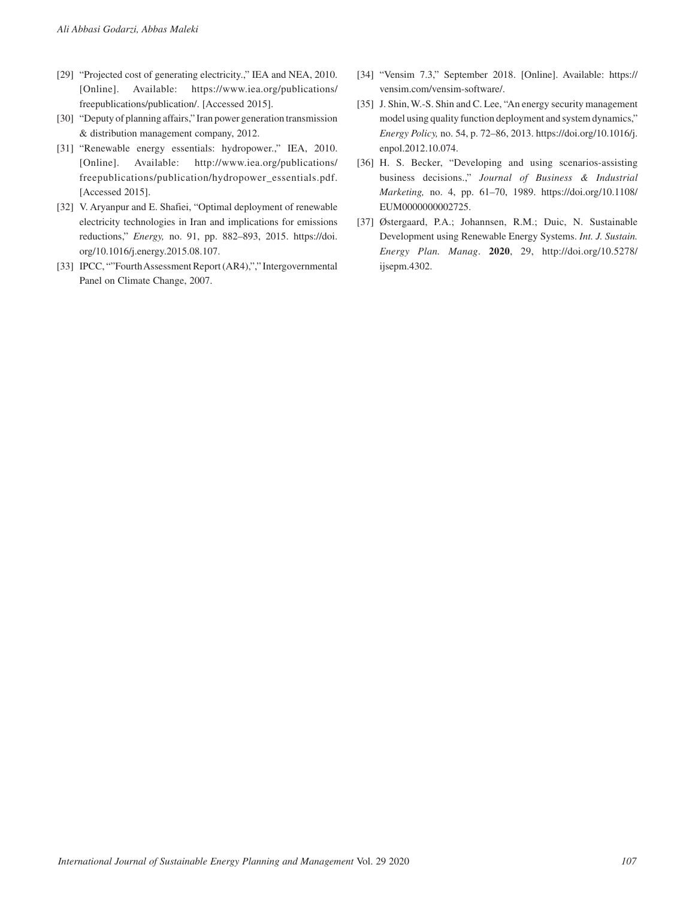- [29] "Projected cost of generating electricity.," IEA and NEA, 2010. [Online]. Available: [https://www.iea.org/publications/](https://www.iea.org/publications/freepublications/publication) [freepublications/publication/](https://www.iea.org/publications/freepublications/publication). [Accessed 2015].
- [30] "Deputy of planning affairs," Iran power generation transmission & distribution management company, 2012.
- [31] "Renewable energy essentials: hydropower.," IEA, 2010. [Online]. Available: [http://www.iea.org/publications/](http://www.iea.org/publications/freepublications/publication/hydropower_essentials.pdf) [freepublications/publication/hydropower\\_essentials.pdf](http://www.iea.org/publications/freepublications/publication/hydropower_essentials.pdf). [Accessed 2015].
- [32] V. Aryanpur and E. Shafiei, "Optimal deployment of renewable electricity technologies in Iran and implications for emissions reductions," *Energy,* no. 91, pp. 882–893, 2015. [https://doi.](https://doi.org/10.1016/j.energy.2015.08.107) [org/10.1016/j.energy.2015.08.107.](https://doi.org/10.1016/j.energy.2015.08.107)
- [33] IPCC, ""Fourth Assessment Report (AR4),"," Intergovernmental Panel on Climate Change, 2007.
- [34] "Vensim 7.3," September 2018. [Online]. Available: [https://](https://vensim.com/vensim) [vensim.com/vensim](https://vensim.com/vensim)-software/.
- [35] J. Shin, W.-S. Shin and C. Lee, "An energy security management model using quality function deployment and system dynamics," *Energy Policy,* no. 54, p. 72–86, 2013. [https://doi.org/10.1016/j.](https://doi.org/10.1016/j.enpol.2012.10.074) [enpol.2012.10.074.](https://doi.org/10.1016/j.enpol.2012.10.074)
- [36] H. S. Becker, "Developing and using scenarios-assisting business decisions.," *Journal of Business & Industrial Marketing,* no. 4, pp. 61–70, 1989. [https://doi.org/10.1108/](https://doi.org/10.1108/EUM0000000002725) [EUM0000000002725](https://doi.org/10.1108/EUM0000000002725).
- [37] Østergaard, P.A.; Johannsen, R.M.; Duic, N. Sustainable Development using Renewable Energy Systems. *Int. J. Sustain. Energy Plan. Manag*. **2020**, 29, http://doi.org/10.5278/ ijsepm.4302.